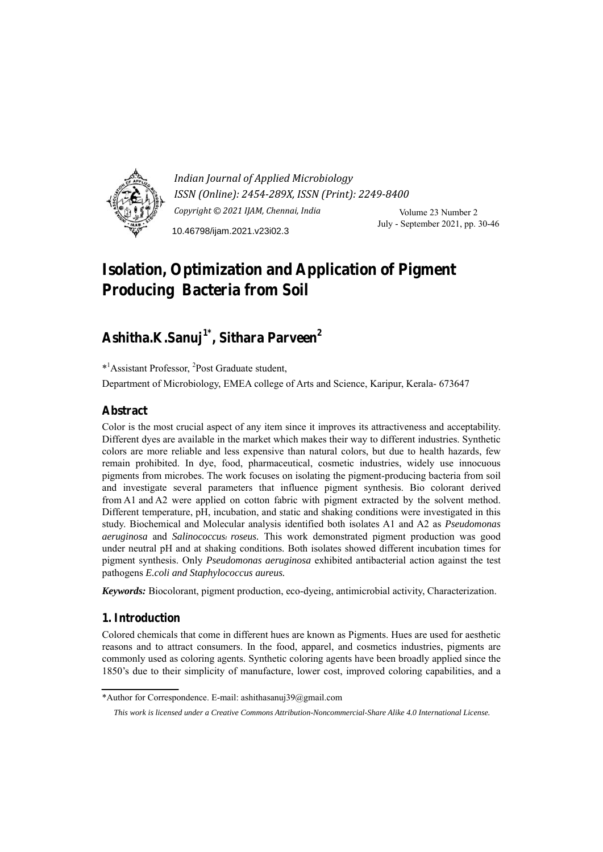

*Indian Journal of Applied Microbiology ISSN (Online): 2454-289X, ISSN (Print): 2249-8400 Copyright © 2021 IJAM, Chennai, India* Volume 23 Number 2 July - September 2021, pp. 30-46 10.46798/ijam.2021.v23i02.3

# **Isolation, Optimization and Application of Pigment Producing Bacteria from Soil**

# **Ashitha.K.Sanuj1\*, Sithara Parveen2**

\*1 Assistant Professor, <sup>2</sup> Post Graduate student, Department of Microbiology, EMEA college of Arts and Science, Karipur, Kerala- 673647

## **Abstract**

Color is the most crucial aspect of any item since it improves its attractiveness and acceptability. Different dyes are available in the market which makes their way to different industries. Synthetic colors are more reliable and less expensive than natural colors, but due to health hazards, few remain prohibited. In dye, food, pharmaceutical, cosmetic industries, widely use innocuous pigments from microbes. The work focuses on isolating the pigment-producing bacteria from soil and investigate several parameters that influence pigment synthesis. Bio colorant derived from A1 and A2 were applied on cotton fabric with pigment extracted by the solvent method. Different temperature, pH, incubation, and static and shaking conditions were investigated in this study. Biochemical and Molecular analysis identified both isolates A1 and A2 as *Pseudomonas aeruginosa* and *Salinococcusi roseus*. This work demonstrated pigment production was good under neutral pH and at shaking conditions. Both isolates showed different incubation times for pigment synthesis. Only *Pseudomonas aeruginosa* exhibited antibacterial action against the test pathogens *E.coli and Staphylococcus aureus.* 

*Keywords:* Biocolorant, pigment production, eco-dyeing, antimicrobial activity, Characterization.

## **1. Introduction**

Colored chemicals that come in different hues are known as Pigments. Hues are used for aesthetic reasons and to attract consumers. In the food, apparel, and cosmetics industries, pigments are commonly used as coloring agents. Synthetic coloring agents have been broadly applied since the 1850's due to their simplicity of manufacture, lower cost, improved coloring capabilities, and a

<sup>\*</sup>Author for Correspondence. E-mail: ashithasanuj39@gmail.com

*This work is licensed under a Creative Commons Attribution-Noncommercial-Share Alike 4.0 International License.*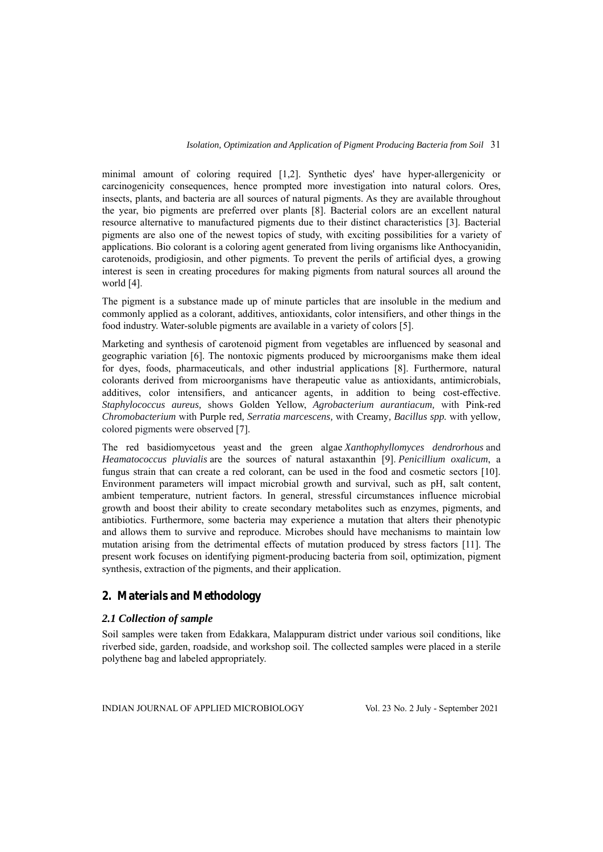minimal amount of coloring required [1,2]. Synthetic dyes' have hyper-allergenicity or carcinogenicity consequences, hence prompted more investigation into natural colors. Ores, insects, plants, and bacteria are all sources of natural pigments. As they are available throughout the year, bio pigments are preferred over plants [8]. Bacterial colors are an excellent natural resource alternative to manufactured pigments due to their distinct characteristics [3]. Bacterial pigments are also one of the newest topics of study, with exciting possibilities for a variety of applications. Bio colorant is a coloring agent generated from living organisms like Anthocyanidin, carotenoids, prodigiosin, and other pigments. To prevent the perils of artificial dyes, a growing interest is seen in creating procedures for making pigments from natural sources all around the world [4].

The pigment is a substance made up of minute particles that are insoluble in the medium and commonly applied as a colorant, additives, antioxidants, color intensifiers, and other things in the food industry. Water-soluble pigments are available in a variety of colors [5].

Marketing and synthesis of carotenoid pigment from vegetables are influenced by seasonal and geographic variation [6]. The nontoxic pigments produced by microorganisms make them ideal for dyes, foods, pharmaceuticals, and other industrial applications [8]. Furthermore, natural colorants derived from microorganisms have therapeutic value as antioxidants, antimicrobials, additives, color intensifiers, and anticancer agents, in addition to being cost-effective. *Staphylococcus aureus,* shows Golden Yellow, *Agrobacterium aurantiacum,* with Pink-red *Chromobacterium* with Purple red*, Serratia marcescens,* with Creamy*, Bacillus spp.* with yellow*,*  colored pigments were observed [7].

The red basidiomycetous yeast and the green algae *Xanthophyllomyces dendrorhous* and *Heamatococcus pluvialis* are the sources of natural astaxanthin [9]. *Penicillium oxalicum*, a fungus strain that can create a red colorant, can be used in the food and cosmetic sectors [10]. Environment parameters will impact microbial growth and survival, such as pH, salt content, ambient temperature, nutrient factors. In general, stressful circumstances influence microbial growth and boost their ability to create secondary metabolites such as enzymes, pigments, and antibiotics. Furthermore, some bacteria may experience a mutation that alters their phenotypic and allows them to survive and reproduce. Microbes should have mechanisms to maintain low mutation arising from the detrimental effects of mutation produced by stress factors [11]. The present work focuses on identifying pigment-producing bacteria from soil, optimization, pigment synthesis, extraction of the pigments, and their application.

## **2. Materials and Methodology**

## *2.1 Collection of sample*

Soil samples were taken from Edakkara, Malappuram district under various soil conditions, like riverbed side, garden, roadside, and workshop soil. The collected samples were placed in a sterile polythene bag and labeled appropriately.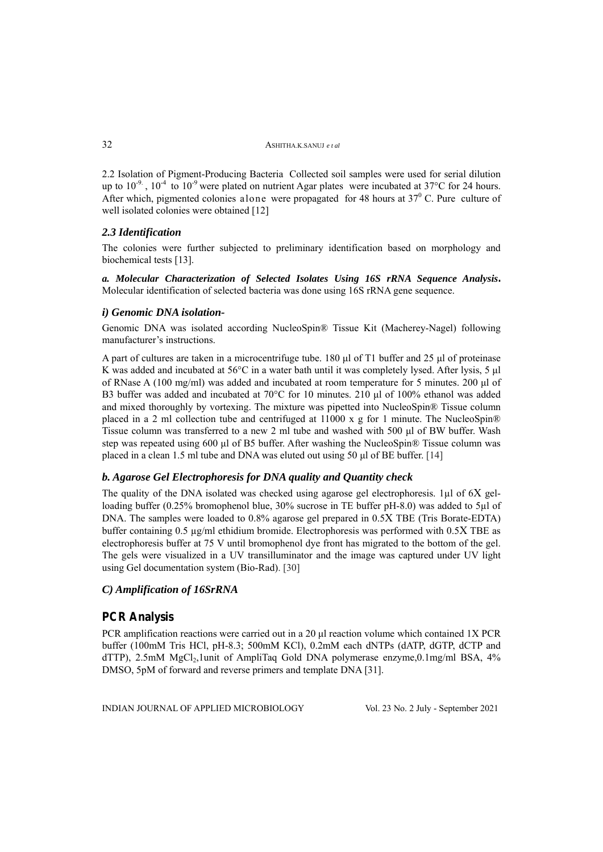2.2 Isolation of Pigment-Producing Bacteria Collected soil samples were used for serial dilution up to  $10^{-9}$ .  $10^{-4}$  to  $10^{-9}$  were plated on nutrient Agar plates were incubated at 37°C for 24 hours. After which, pigmented colonies alone were propagated for 48 hours at  $37^{\circ}$  C. Pure culture of well isolated colonies were obtained [12]

#### *2.3 Identification*

The colonies were further subjected to preliminary identification based on morphology and biochemical tests [13].

*a. Molecular Characterization of Selected Isolates Using 16S rRNA Sequence Analysis***.**  Molecular identification of selected bacteria was done using 16S rRNA gene sequence.

#### *i) Genomic DNA isolation-*

Genomic DNA was isolated according NucleoSpin® Tissue Kit (Macherey-Nagel) following manufacturer's instructions.

A part of cultures are taken in a microcentrifuge tube. 180 μl of T1 buffer and 25 μl of proteinase K was added and incubated at 56°C in a water bath until it was completely lysed. After lysis, 5 μl of RNase A (100 mg/ml) was added and incubated at room temperature for 5 minutes. 200 μl of B3 buffer was added and incubated at 70°C for 10 minutes. 210 μl of 100% ethanol was added and mixed thoroughly by vortexing. The mixture was pipetted into NucleoSpin® Tissue column placed in a 2 ml collection tube and centrifuged at 11000 x g for 1 minute. The NucleoSpin<sup>®</sup> Tissue column was transferred to a new 2 ml tube and washed with 500 μl of BW buffer. Wash step was repeated using 600 μl of B5 buffer. After washing the NucleoSpin® Tissue column was placed in a clean 1.5 ml tube and DNA was eluted out using 50 μl of BE buffer. [14]

## *b. Agarose Gel Electrophoresis for DNA quality and Quantity check*

The quality of the DNA isolated was checked using agarose gel electrophoresis. 1µl of 6X gelloading buffer (0.25% bromophenol blue, 30% sucrose in TE buffer pH-8.0) was added to 5µl of DNA. The samples were loaded to 0.8% agarose gel prepared in 0.5X TBE (Tris Borate-EDTA) buffer containing  $0.5 \mu g/ml$  ethidium bromide. Electrophoresis was performed with  $0.5X$  TBE as electrophoresis buffer at 75 V until bromophenol dye front has migrated to the bottom of the gel. The gels were visualized in a UV transilluminator and the image was captured under UV light using Gel documentation system (Bio-Rad). [30]

## *C) Amplification of 16SrRNA*

## **PCR Analysis**

PCR amplification reactions were carried out in a 20 ul reaction volume which contained 1X PCR buffer (100mM Tris HCl, pH-8.3; 500mM KCl), 0.2mM each dNTPs (dATP, dGTP, dCTP and dTTP), 2.5mM MgCl<sub>2</sub>,1unit of AmpliTaq Gold DNA polymerase enzyme,0.1mg/ml BSA,  $4\%$ DMSO, 5pM of forward and reverse primers and template DNA [31].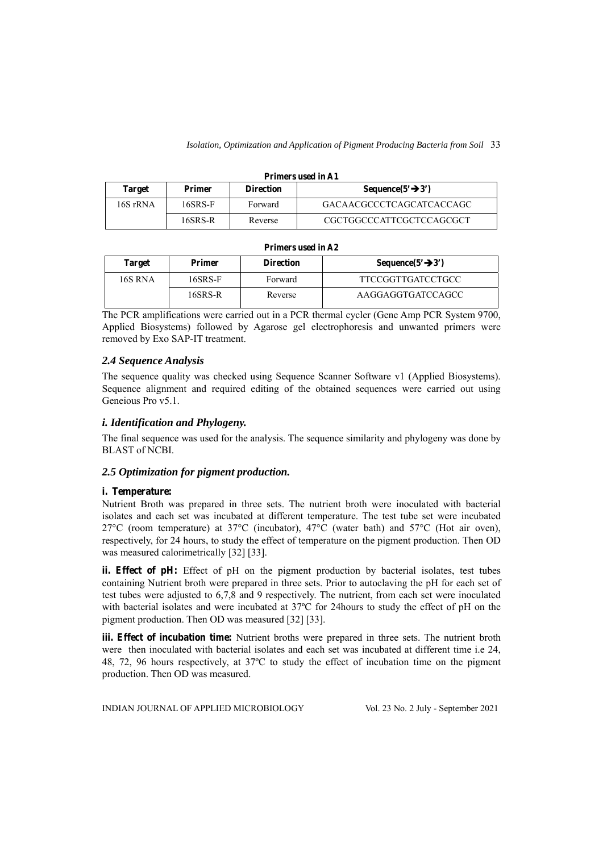#### **Primers used in A1**

| <b>Target</b> | <b>Primer</b> | <b>Direction</b> | Sequence $(5' \rightarrow 3')$ |
|---------------|---------------|------------------|--------------------------------|
| 16S rRNA      | 16SRS-F       | Forward          | GACAACGCCCTCAGCATCACCAGC       |
|               | 16SRS-R       | Reverse          | CGCTGGCCCATTCGCTCCAGCGCT       |

#### **Primers used in A2**

| Target  | Primer  | <b>Direction</b>             | Sequence( $5'$ $\rightarrow$ $3'$ ) |
|---------|---------|------------------------------|-------------------------------------|
| 16S RNA | 16SRS-F | Forward                      | <b>TTCCGGTTGATCCTGCC</b>            |
|         | 16SRS-R | AAGGAGGTGATCCAGCC<br>Reverse |                                     |

The PCR amplifications were carried out in a PCR thermal cycler (Gene Amp PCR System 9700, Applied Biosystems) followed by Agarose gel electrophoresis and unwanted primers were removed by Exo SAP-IT treatment.

## *2.4 Sequence Analysis*

The sequence quality was checked using Sequence Scanner Software v1 (Applied Biosystems). Sequence alignment and required editing of the obtained sequences were carried out using Geneious Pro v5.1.

#### *i. Identification and Phylogeny.*

The final sequence was used for the analysis. The sequence similarity and phylogeny was done by BLAST of NCBI.

## *2.5 Optimization for pigment production.*

#### **i. Temperature:**

Nutrient Broth was prepared in three sets. The nutrient broth were inoculated with bacterial isolates and each set was incubated at different temperature. The test tube set were incubated 27°C (room temperature) at 37°C (incubator), 47°C (water bath) and 57°C (Hot air oven), respectively, for 24 hours, to study the effect of temperature on the pigment production. Then OD was measured calorimetrically [32] [33].

**ii. Effect of pH:** Effect of pH on the pigment production by bacterial isolates, test tubes containing Nutrient broth were prepared in three sets. Prior to autoclaving the pH for each set of test tubes were adjusted to 6,7,8 and 9 respectively. The nutrient, from each set were inoculated with bacterial isolates and were incubated at 37ºC for 24hours to study the effect of pH on the pigment production. Then OD was measured [32] [33].

**iii. Effect of incubation time:** Nutrient broths were prepared in three sets. The nutrient broth were then inoculated with bacterial isolates and each set was incubated at different time i.e 24, 48, 72, 96 hours respectively, at 37ºC to study the effect of incubation time on the pigment production. Then OD was measured.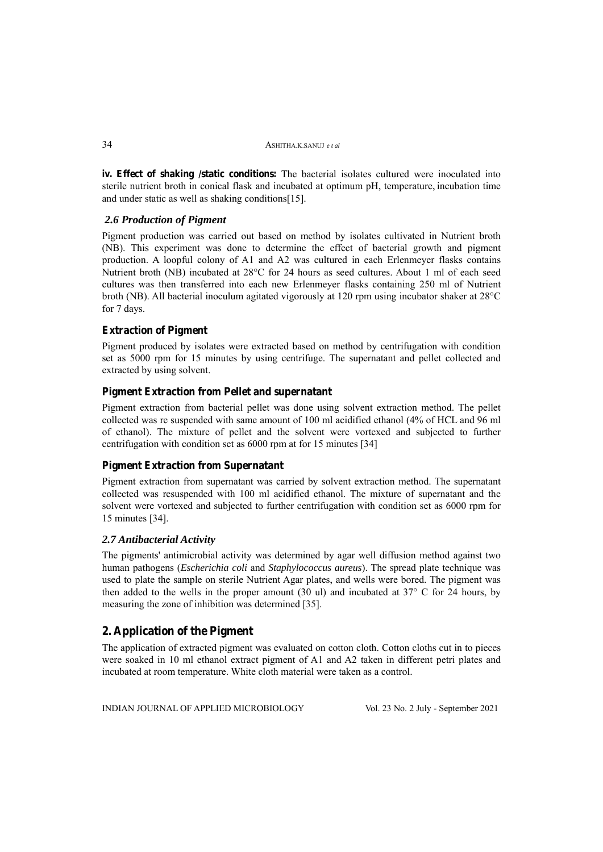**iv. Effect of shaking /static conditions:** The bacterial isolates cultured were inoculated into sterile nutrient broth in conical flask and incubated at optimum pH, temperature, incubation time and under static as well as shaking conditions[15].

## *2.6 Production of Pigment*

Pigment production was carried out based on method by isolates cultivated in Nutrient broth (NB). This experiment was done to determine the effect of bacterial growth and pigment production. A loopful colony of A1 and A2 was cultured in each Erlenmeyer flasks contains Nutrient broth (NB) incubated at 28°C for 24 hours as seed cultures. About 1 ml of each seed cultures was then transferred into each new Erlenmeyer flasks containing 250 ml of Nutrient broth (NB). All bacterial inoculum agitated vigorously at 120 rpm using incubator shaker at 28°C for 7 days.

## **Extraction of Pigment**

Pigment produced by isolates were extracted based on method by centrifugation with condition set as 5000 rpm for 15 minutes by using centrifuge. The supernatant and pellet collected and extracted by using solvent.

#### **Pigment Extraction from Pellet and supernatant**

Pigment extraction from bacterial pellet was done using solvent extraction method. The pellet collected was re suspended with same amount of 100 ml acidified ethanol (4% of HCL and 96 ml of ethanol). The mixture of pellet and the solvent were vortexed and subjected to further centrifugation with condition set as 6000 rpm at for 15 minutes [34]

#### **Pigment Extraction from Supernatant**

Pigment extraction from supernatant was carried by solvent extraction method. The supernatant collected was resuspended with 100 ml acidified ethanol. The mixture of supernatant and the solvent were vortexed and subjected to further centrifugation with condition set as 6000 rpm for 15 minutes [34].

#### *2.7 Antibacterial Activity*

The pigments' antimicrobial activity was determined by agar well diffusion method against two human pathogens (*Escherichia coli* and *Staphylococcus aureus*). The spread plate technique was used to plate the sample on sterile Nutrient Agar plates, and wells were bored. The pigment was then added to the wells in the proper amount (30 ul) and incubated at 37° C for 24 hours, by measuring the zone of inhibition was determined [35].

## **2. Application of the Pigment**

The application of extracted pigment was evaluated on cotton cloth. Cotton cloths cut in to pieces were soaked in 10 ml ethanol extract pigment of A1 and A2 taken in different petri plates and incubated at room temperature. White cloth material were taken as a control.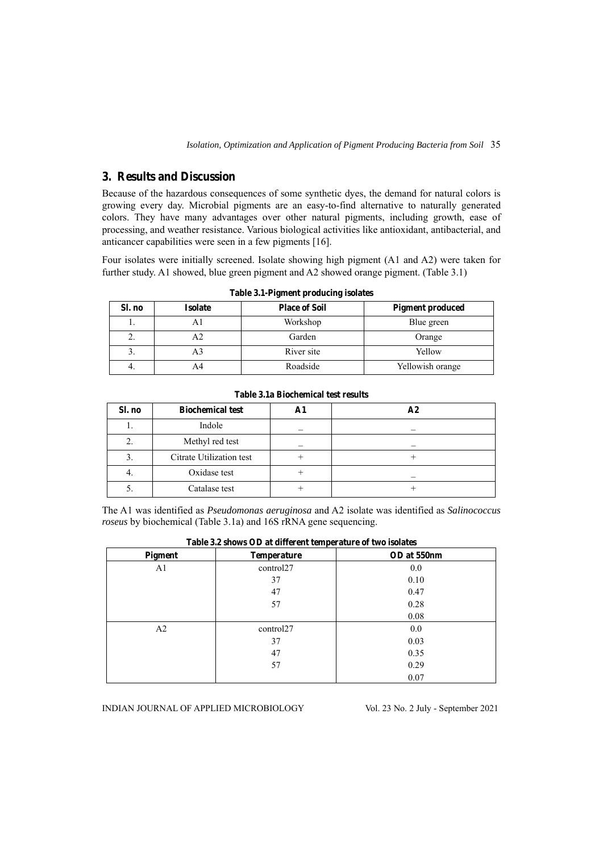## **3. Results and Discussion**

Because of the hazardous consequences of some synthetic dyes, the demand for natural colors is growing every day. Microbial pigments are an easy-to-find alternative to naturally generated colors. They have many advantages over other natural pigments, including growth, ease of processing, and weather resistance. Various biological activities like antioxidant, antibacterial, and anticancer capabilities were seen in a few pigments [16].

Four isolates were initially screened. Isolate showing high pigment (A1 and A2) were taken for further study. A1 showed, blue green pigment and A2 showed orange pigment. (Table 3.1)

| Sl. no     | <b>Isolate</b> | <b>Place of Soil</b> | <b>Pigment produced</b> |
|------------|----------------|----------------------|-------------------------|
|            |                | Workshop             | Blue green              |
| <u>L</u> . |                | Garden               | Orange                  |
| Ć.         |                | River site           | Yellow                  |
| 4.         |                | Roadside             | Yellowish orange        |

**Table 3.1-Pigment producing isolates** 

| Sl. no | <b>Biochemical test</b>  | A <sub>2</sub> |
|--------|--------------------------|----------------|
|        | Indole                   |                |
|        | Methyl red test          |                |
|        | Citrate Utilization test |                |
| ┭.     | Oxidase test             |                |
|        | Catalase test            |                |

The A1 was identified as *Pseudomonas aeruginosa* and A2 isolate was identified as *Salinococcus roseus* by biochemical (Table 3.1a) and 16S rRNA gene sequencing.

| Pigment | <b>Temperature</b> | OD at 550nm |
|---------|--------------------|-------------|
| A1      | control27          | 0.0         |
|         | 37                 | 0.10        |
|         | 47                 | 0.47        |
|         | 57                 | 0.28        |
|         |                    | 0.08        |
| A2      | control27          | 0.0         |
|         | 37                 | 0.03        |
|         | 47                 | 0.35        |
|         | 57                 | 0.29        |
|         |                    | 0.07        |

**Table 3.2 shows OD at different temperature of two isolates**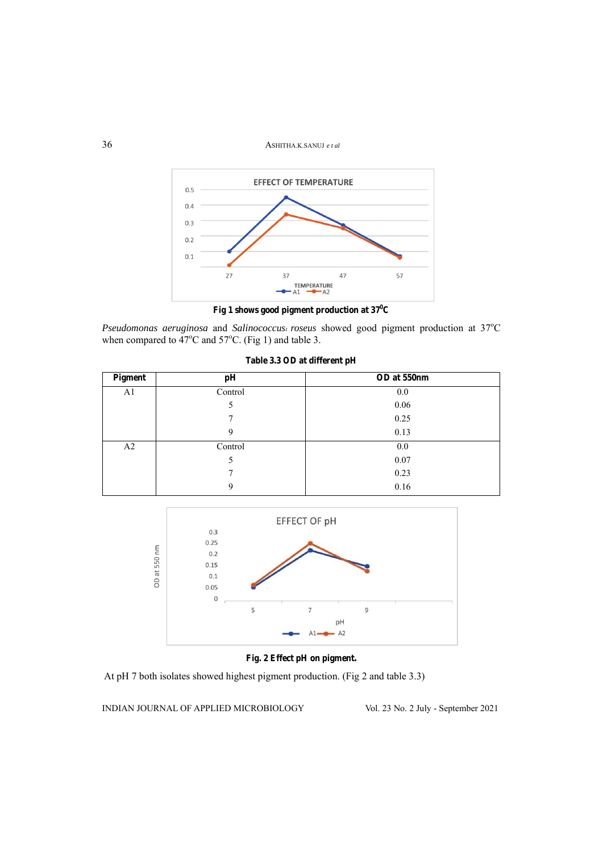36ASHITHA.K.SANUJ *e t al*



Fig 1 shows good pigment production at  $37^0C$ 

Pseudomonas aeruginosa and Salinococcus<sub>1</sub> roseus showed good pigment production at 37°C when compared to  $47^{\circ}$ C and  $57^{\circ}$ C. (Fig 1) and table 3.

| Pigment | pH      | OD at 550nm |
|---------|---------|-------------|
| A1      | Control | 0.0         |
|         | C       | 0.06        |
|         | 7       | 0.25        |
|         | 9       | 0.13        |
| A2      | Control | 0.0         |
|         | C       | 0.07        |
|         | 7       | 0.23        |
|         | 9       | 0.16        |

**Table 3.3 OD at different pH** 



## **Fig. 2 Effect pH on pigment.**

At pH 7 both isolates showed highest pigment production. (Fig 2 and table 3.3)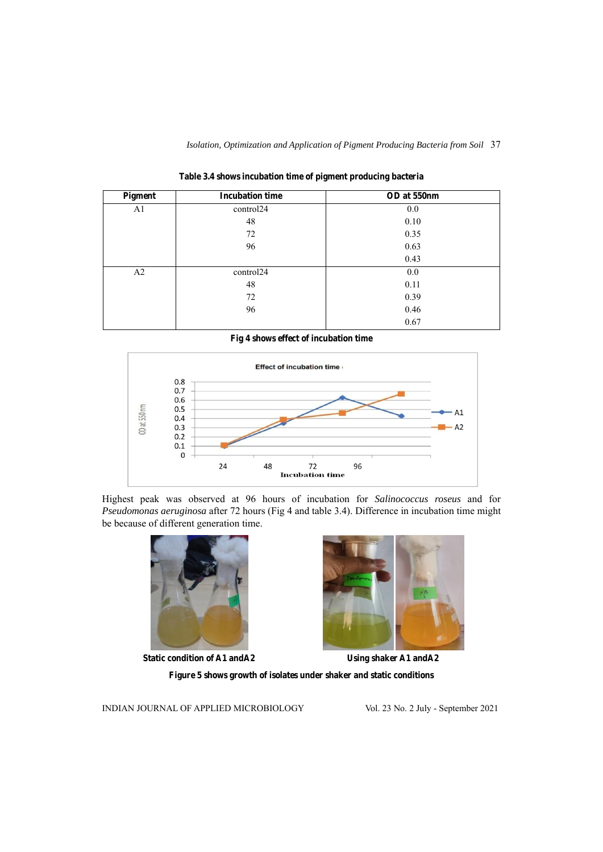| Pigment        | <b>Incubation time</b> | OD at 550nm |
|----------------|------------------------|-------------|
| A <sub>1</sub> | control24              | 0.0         |
|                | 48                     | 0.10        |
|                | 72                     | 0.35        |
|                | 96                     | 0.63        |
|                |                        | 0.43        |
| A2             | control24              | 0.0         |
|                | 48                     | 0.11        |
|                | 72                     | 0.39        |
|                | 96                     | 0.46        |
|                |                        | 0.67        |

**Table 3.4 shows incubation time of pigment producing bacteria** 

**Fig 4 shows effect of incubation time** 



Highest peak was observed at 96 hours of incubation for *Salinococcus roseus* and for *Pseudomonas aeruginosa* after 72 hours (Fig 4 and table 3.4). Difference in incubation time might be because of different generation time.



**Static condition of A1 andA2 Using shaker A1 andA2**



**Figure 5 shows growth of isolates under shaker and static conditions**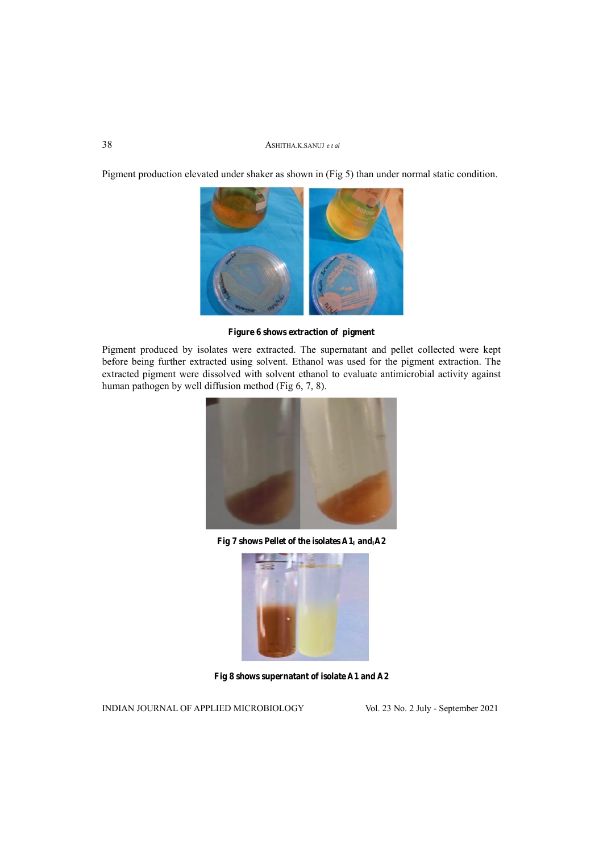Pigment production elevated under shaker as shown in (Fig 5) than under normal static condition.



**Figure 6 shows extraction of pigment** 

Pigment produced by isolates were extracted. The supernatant and pellet collected were kept before being further extracted using solvent. Ethanol was used for the pigment extraction. The extracted pigment were dissolved with solvent ethanol to evaluate antimicrobial activity against human pathogen by well diffusion method (Fig 6, 7, 8).



Fig 7 shows Pellet of the isolates  $A1_I$  and<sub>I</sub>A2



**Fig 8 shows supernatant of isolate A1 and A2**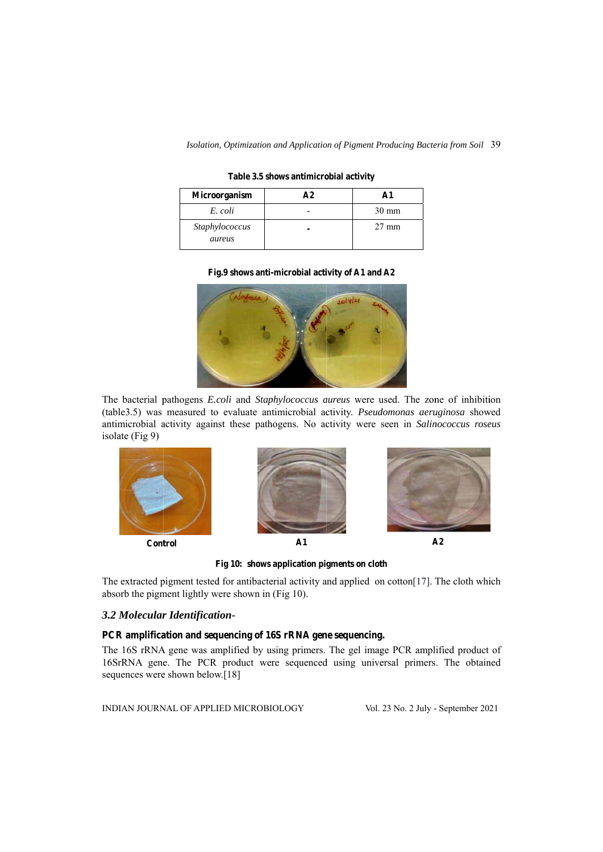Isolation, Optimization and Application of Pigment Producing Bacteria from Soil 39

Table 3.5 shows antimicrobial activity

| <b>Microorganism</b>     | $\Delta$ 2 |                 |
|--------------------------|------------|-----------------|
| E. coli                  |            | $30 \text{ mm}$ |
| Staphylococcus<br>aureus |            | $27 \text{ mm}$ |

#### Fig.9 shows anti-microbial activity of A1 and A2



The bacterial pathogens *E.coli* and *Staphylococcus aureus* were used. The zone of inhibition (table3.5) was measured to evaluate antimicrobial activity. *Pseudomonas aeruginosa* showed antimicrobial activity against these pathogens. No activity were seen in *Salinococcus roseus* is olate (Fig 9)



Fig 10: shows application pigments on cloth

The extracted pigment tested for antibacterial activity and applied on cotton[17]. The cloth which absorb the pigment lightly were shown in (Fig 10).

#### 3.2 Molecular Identification-

#### PCR amplification and sequencing of 16S rRNA gene sequencing.

The 16S rRNA gene was amplified by using primers. The gel image PCR amplified product of 16SrRNA gene. The PCR product were sequenced using universal primers. The obtained sequences were shown below.[18]

INDIAN JOURNAL OF APPLIED MICROBIOLOGY

Vol. 23 No. 2 July - September 2021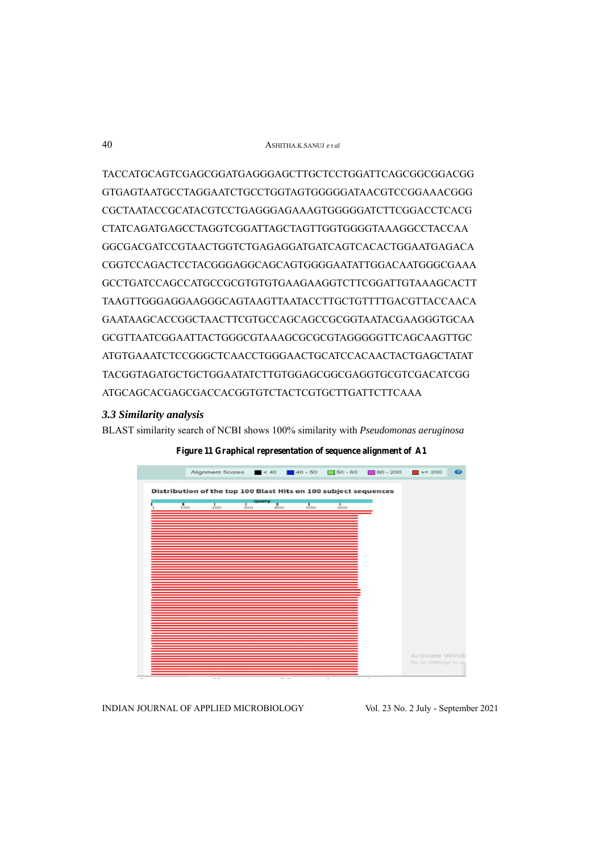TACCATGCAGTCGAGCGGATGAGGGAGCTTGCTCCTGGATTCAGCGGCGGACGG GTGAGTAATGCCTAGGAATCTGCCTGGTAGTGGGGGATAACGTCCGGAAACGGG CGCTAATACCGCATACGTCCTGAGGGAGAAAGTGGGGGATCTTCGGACCTCACG CTATCAGATGAGCCTAGGTCGGATTAGCTAGTTGGTGGGGTAAAGGCCTACCAA GGCGACGATCCGTAACTGGTCTGAGAGGATGATCAGTCACACTGGAATGAGACA CGGTCCAGACTCCTACGGGAGGCAGCAGTGGGGAATATTGGACAATGGGCGAAA GCCTGATCCAGCCATGCCGCGTGTGTGAAGAAGGTCTTCGGATTGTAAAGCACTT TAAGTTGGGAGGAAGGGCAGTAAGTTAATACCTTGCTGTTTTGACGTTACCAACA GAATAAGCACCGGCTAACTTCGTGCCAGCAGCCGCGGTAATACGAAGGGTGCAA GCGTTAATCGGAATTACTGGGCGTAAAGCGCGCGTAGGGGGTTCAGCAAGTTGC ATGTGAAATCTCCGGGCTCAACCTGGGAACTGCATCCACAACTACTGAGCTATAT TACGGTAGATGCTGCTGGAATATCTTGTGGAGCGGCGAGGTGCGTCGACATCGG ATGCAGCACGAGCGACCACGGTGTCTACTCGTGCTTGATTCTTCAAA

#### *3.3 Similarity analysis*

BLAST similarity search of NCBI shows 100% similarity with *Pseudomonas aeruginosa*



**Figure 11 Graphical representation of sequence alignment of A1**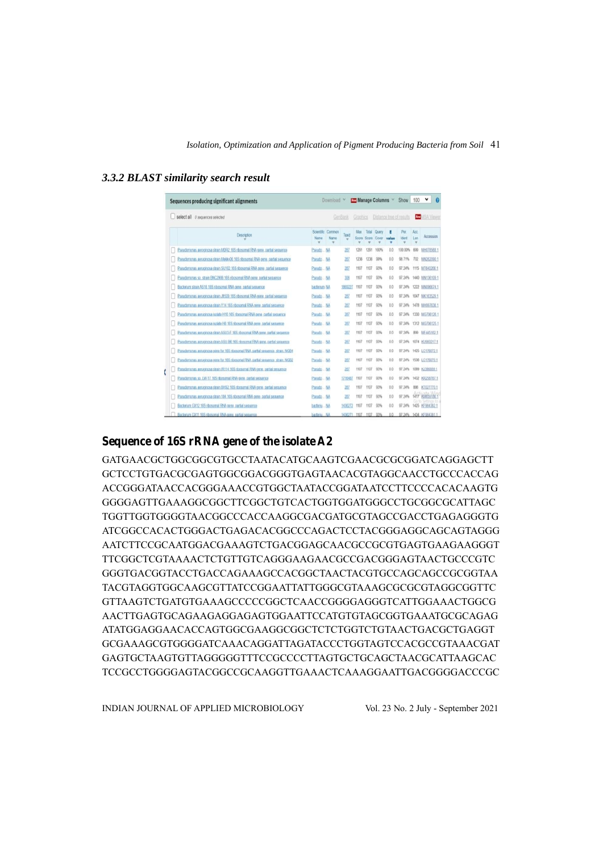|  |  |  | 3.3.2 BLAST similarity search result |  |  |
|--|--|--|--------------------------------------|--|--|
|--|--|--|--------------------------------------|--|--|

| Sequences producing significant alignments                                        |              | Download                  | v        |              |                | <b>Manage Columns</b> | v     | Show                     | 100              | v                      |
|-----------------------------------------------------------------------------------|--------------|---------------------------|----------|--------------|----------------|-----------------------|-------|--------------------------|------------------|------------------------|
| select all 0 sequences selected                                                   |              |                           | GenBank  | Graphics     |                |                       |       | Distance tree of results | New              |                        |
| <b>Description</b>                                                                | Name         | Scientific Common<br>Name | Taxid    | Max<br>Score | Total<br>Score | <b>Query</b><br>Cover | value | Per<br>ktent             | Acc:<br>Len<br>٠ | Accession              |
| Pseudomonas aeroginosa strain MDR2 16S ribosomal RNA gene, partial sequence       | Pseudo.      | <b>NA</b>                 | 287      | 1291         | 1291           | 100%                  | 0.0   | 100.00%                  | 699              | MH078568.1             |
| Pseudomonas aeruginosa strain Mekkv06 16S ribosomal RNA gene, partial sequence    | Pseudo.      | NA                        | 287      | 1236         | 1236           | 99%                   | 0.0   | 98.71%                   | 702              | MN262090.1             |
| Pseudomonas aeruginosa strain SU102 16S ribosomal RNA gene, partial seguence      | Pseudo  NA   |                           | 287      | 1107         | 1107           | 93%                   | 0.0   | 97.24%                   | 1115             | MT640266.1             |
| Pseudomonas so, strain BNC2906 16S ribosomal RNA gene, partial sequence           | Pseudo NA    |                           | 306      | 1107         | 1107           | 93%                   | 0.0   | 97.24%                   | 1440             | MN136109.1             |
| Bacterium strain AS16 16S ribosomal RNA gene, partial sequence                    | bacterium NA |                           | 1869227  | 1107         | 1107           | 93%                   | 0.0   | 97.24%                   |                  | 1222 MN096674.1        |
| Pseudomonas aeruginosa strain Jfr509 16S ribosomal RNA gene, partial seguence     | Pseudo NA    |                           | 287      | 1107         | 1107           | 93%                   | 0.0   | 97.24%                   |                  | 1047 MK163529.1        |
| Pseudomonas aeruginosa strain Y14 16S ribosomal RNA gene, partial sequence        | Pseudo       | <b>NA</b>                 | 201      | 1107         | 1107           | 93%                   | 0.0   | 97.24%                   |                  | 1478 MH9976361         |
| Pseudomonas aeruginosa isolate H16 16S ribosomal RNA gene_partial seguence        | Pseudo NA    |                           | 287      | 1107         | 1107           | 93%                   | 0.0   | 97.24%                   |                  | 1330 MG706126.1        |
| Pseudomonas aeruginosa isolate H8 16S ribosomal RNA gene, partial seguence        | Pseudo NA    |                           | 287      | 1107         | 1107           | 93%                   | 0.0   | 97.24%                   |                  | 1312 MG706125.1        |
| Pseudomonas aeruginosa strain ASU3-F 16S ribosomal RNA gene, partial seguence     | Pseudo  NA   |                           | 207      | 1107         | 1107           | 93%                   | 0.0   | 97.24%                   | 899              | ME445162.1             |
| Pseudomonas aeruginosa strain ASU-B6 16S ribosomal RNA gene, partial seguence     | Pseudo  NA   |                           | 287      | 1107         | 1107           | 93%                   | 0.0   | 07.24%                   |                  | 1074 KU000217.1        |
| Pseudomonas aeruginosa gene for 165 ribosomal RNA, partial seguence, strain; NGB4 | Pseudo NA    |                           | 287      | 1107         | 1107           | 93%                   | 0.0   | 97.24%                   |                  | 1425 LC176072.1        |
| Pseudomonas aeruginosa gene for 16S ribosomal RNA, partial seguence, strain: NGB2 | Pseudo NA    |                           | 267      | 1107         | 1107           | 93%                   | 0.0   | 97.24%                   |                  | 1536 LC176070.1        |
| Pseudomonas aeruginosa strain IR114.16S ribosomal RNA gene, partial seguence      | Pseudo.      | . NA                      | 287      | 1107         | 1107           | 93%                   | 0.0   | 97.24%                   |                  | 1099 KJ396889.1        |
| Pseudomonas sp. LW-17 16S ribosomal RNA gene_partial sequence                     | Pseudo.      | - NA                      | 1716487  | 1107         | 1107           | 93%                   | 0.0   | 97.24%                   |                  | 1432 KR258767.1        |
| Pseudomonas aeruginosa strain BHS2 16S ribosomal RNA gene, partial sequence       | Pseudo.      | . NA                      | 28I      | 1107         | 1107           | 93%                   | 0.0   | 97.24%                   | 886              | KT027770.1             |
| Pseudomonas aeruginosa strain 184.16S ribosomal RNA gene, partial seguence        | Psoudo NA    |                           | 287      | 1107         | 1107           | 93%                   | 0.0   | 97.24%                   |                  | 63859186               |
| Bacterium GX12.16S ribosomal RNA gene, partial sequence                           | bacteriuNA   |                           | 1436272  | 1107         | 1107           | 93%                   | 0.0   | 07.24%                   |                  | 1425 KF964382.1        |
| Bacterium GX11 16S ribosomal RNA gane, partial sequence                           | bacteriu     | <b>NA</b>                 | 143/0771 | 1107         | 1107           | 03%                   | 0.0   |                          |                  | 07.24% 1434 KF004381.1 |

## **Sequence of 16S rRNA gene of the isolate A2**

GATGAACGCTGGCGGCGTGCCTAATACATGCAAGTCGAACGCGCGGATCAGGAGCTT GCTCCTGTGACGCGAGTGGCGGACGGGTGAGTAACACGTAGGCAACCTGCCCACCAG ACCGGGATAACCACGGGAAACCGTGGCTAATACCGGATAATCCTTCCCCACACAAGTG GGGGAGTTGAAAGGCGGCTTCGGCTGTCACTGGTGGATGGGCCTGCGGCGCATTAGC TGGTTGGTGGGGTAACGGCCCACCAAGGCGACGATGCGTAGCCGACCTGAGAGGGTG ATCGGCCACACTGGGACTGAGACACGGCCCAGACTCCTACGGGAGGCAGCAGTAGGG AATCTTCCGCAATGGACGAAAGTCTGACGGAGCAACGCCGCGTGAGTGAAGAAGGGT TTCGGCTCGTAAAACTCTGTTGTCAGGGAAGAACGCCGACGGGAGTAACTGCCCGTC GGGTGACGGTACCTGACCAGAAAGCCACGGCTAACTACGTGCCAGCAGCCGCGGTAA TACGTAGGTGGCAAGCGTTATCCGGAATTATTGGGCGTAAAGCGCGCGTAGGCGGTTC GTTAAGTCTGATGTGAAAGCCCCCGGCTCAACCGGGGAGGGTCATTGGAAACTGGCG AACTTGAGTGCAGAAGAGGAGAGTGGAATTCCATGTGTAGCGGTGAAATGCGCAGAG ATATGGAGGAACACCAGTGGCGAAGGCGGCTCTCTGGTCTGTAACTGACGCTGAGGT GCGAAAGCGTGGGGATCAAACAGGATTAGATACCCTGGTAGTCCACGCCGTAAACGAT GAGTGCTAAGTGTTAGGGGGTTTCCGCCCCTTAGTGCTGCAGCTAACGCATTAAGCAC TCCGCCTGGGGAGTACGGCCGCAAGGTTGAAACTCAAAGGAATTGACGGGGACCCGC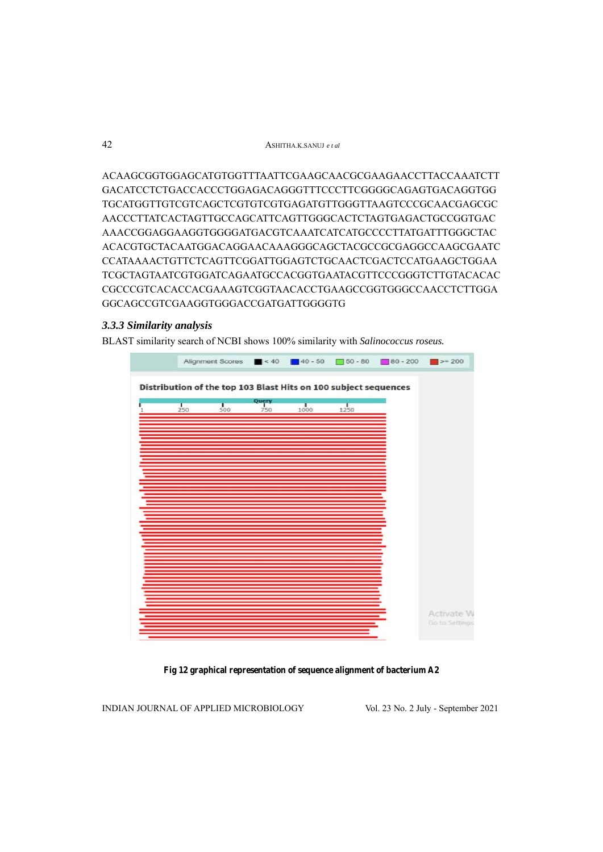ACAAGCGGTGGAGCATGTGGTTTAATTCGAAGCAACGCGAAGAACCTTACCAAATCTT GACATCCTCTGACCACCCTGGAGACAGGGTTTCCCTTCGGGGCAGAGTGACAGGTGG TGCATGGTTGTCGTCAGCTCGTGTCGTGAGATGTTGGGTTAAGTCCCGCAACGAGCGC AACCCTTATCACTAGTTGCCAGCATTCAGTTGGGCACTCTAGTGAGACTGCCGGTGAC AAACCGGAGGAAGGTGGGGATGACGTCAAATCATCATGCCCCTTATGATTTGGGCTAC ACACGTGCTACAATGGACAGGAACAAAGGGCAGCTACGCCGCGAGGCCAAGCGAATC CCATAAAACTGTTCTCAGTTCGGATTGGAGTCTGCAACTCGACTCCATGAAGCTGGAA TCGCTAGTAATCGTGGATCAGAATGCCACGGTGAATACGTTCCCGGGTCTTGTACACAC CGCCCGTCACACCACGAAAGTCGGTAACACCTGAAGCCGGTGGGCCAACCTCTTGGA GGCAGCCGTCGAAGGTGGGACCGATGATTGGGGTG

## *3.3.3 Similarity analysis*

BLAST similarity search of NCBI shows 100% similarity with *Salinococcus roseus.* 



**Fig 12 graphical representation of sequence alignment of bacterium A2**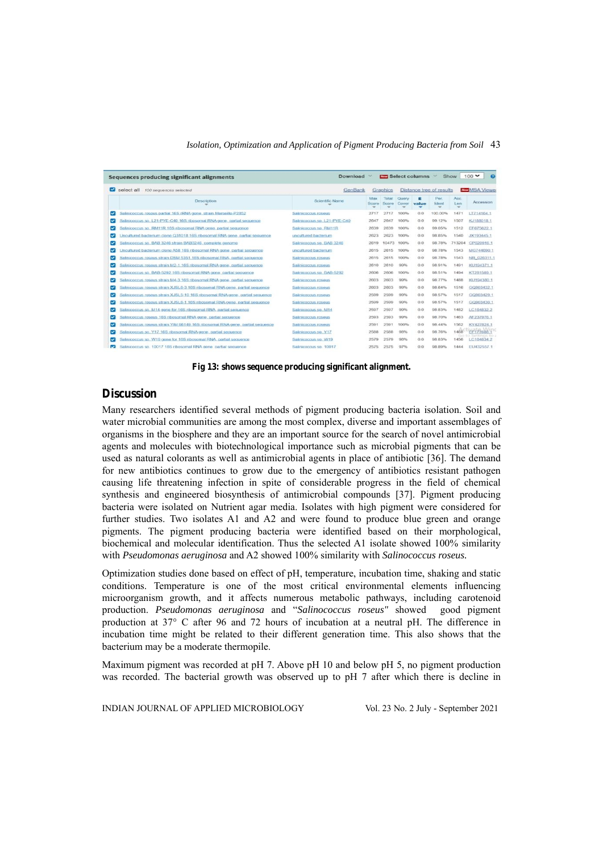|                          | select all<br>100 sequences selected                                          | GenBank                      |              | Graphics       |                |            | Distance tree of results |                              | <b>Nov MSA Viewe</b>            |
|--------------------------|-------------------------------------------------------------------------------|------------------------------|--------------|----------------|----------------|------------|--------------------------|------------------------------|---------------------------------|
|                          | <b>Description</b>                                                            | Scientific Name              | Max<br>Score | Total<br>Score | Query<br>Cover | в<br>value | Per<br>Ident             | Acc.<br>Len<br>$\rightarrow$ | Accession                       |
| $\overline{\phantom{a}}$ | Salinicoccus roseus partial 16S rRNA gene, strain Marseille-P2852             | Salinicoccus roseus          | 2717         | 2717           | 100%           | 0.0        | 100.00%                  | 1471                         | LT714164.1                      |
|                          | Salinicoccus sp. L21-PYE-C40 16S ribosomal RNA gene, partial sequence         | Salinicoccus sp. L21-PYE-C40 | 2647         | 2647           | 100%           | 0.0        | 99.12%                   | 1507                         | KJ188018.1                      |
| ◡                        | Salinicoccus sp. RM11R 16S ribosomal RNA gene, partial sequence               | Salinicoccus sp RM11R        | 2639         | 2639           | 100%           | 0.0        | 99.05%                   | 1512                         | EF675622.1                      |
|                          | Jncultured bacterium clone Q31018 16S ribosomal RNA gene. partial sequence    | uncultured bacterium         | 2623         | 2623           | 100%           | 0.0        | 98.85%                   | 1540                         | JX193445.1                      |
| $\overline{\mathbf{v}}$  | Salinicoccus sp. BAB 3246 strain BAB3246, complete genome                     | Salinicoccus sp. BAB 3246    | 2619         | 10473          | 100%           | 0.0        | 98.78%                   | 713204                       | CP020916.1                      |
|                          | Incultured bacterium clone A58 16S ribosomal RNA gene, partial sequence       | uncultured bacterium         | 2615         | 2615           | 100%           | 0.0        | 98.78%                   | 1543                         | MG744690.1                      |
| $\overline{\mathbf{v}}$  | Salinicoccus roseus strain DSM 5351 16S ribosomal RNA, partial sequence       | Salinicoccus roseus          | 2615         | 2615           | 100%           | 0.0        | 98.78%                   | 1543                         | NR 026311.1                     |
|                          | Salinicoccus roseus strain M2-1 16S ribosomal RNA gene, partial sequence      | Salmicoccus roseus           | 2610         | 2610           | 99%            | 0.0        | 98.91%                   | 1491                         | KU194371.1                      |
| $\overline{\mathbf{v}}$  | Salinicoccus sp. BAB-5292 16S ribosomal RNA gene, partial sequence            | Salinicoccus sp. BAE-5292    | 2606         | 2606           | 100%           | 0.0        | <b>GB 51%</b>            | 1494                         | KT281589.1                      |
|                          | Salinicoccus roseus strain M4-3 16S ribosomal RNA gene, partial sequence      | Salinicoccus roseus          | 2603         | 2603           | 99%            | 0.0        | 98.77%                   | 1488                         | KU194380 1                      |
| $\overline{\phantom{0}}$ | Salinicoccus roseus strain XJSL6-3 16S ribosomal RNA gene, partial sequence   | Salmicoccus roseus           | 2603         | 2603           | 99%            | 0.0        | 98.64%                   | 1516                         | GQ903432 1                      |
|                          | Salinicoccus roseus strain XJSL5-10 16S ribosomal RNA gene, partial sequence  | Salinicoccus roseus          | 2599         | 2599           | 99%            | 0.0        | 98.57%                   | 1517                         | GQ903429.1                      |
|                          | Salinicoccus roseus strain XJSL6-1 16S ribosomal RNA gene. partial sequence   | Salinicoccus roseus          | 2599         | 2599           | 99%            | 0.0        | 98.57%                   | 1517                         | GQ903430.1                      |
|                          | Salinicoccus sp. M14 gene for 16S ribosomal RNA, partial sequence             | Salinicoccus sp. M14         | 2597         | 2597           | 99%            | 0.0        | 98.83%                   | 1482                         | LC1648322                       |
|                          | Salinicoccus roseus 16S ribosomal RNA gene, partial sequence                  | Salinicoccus roseus          | 2593         | 2593           | 99%            | 0.0        | 98.70%                   | 1463                         | AF237976.1                      |
|                          | Salinicoccus roseus strain YIM 98149 16S ribosomal RNA gene, partial sequence | Salinicoccus roseus          | 2591         | 2591           | 100%           | 0.0        | 98.44%                   | 1562                         | KY427824.1                      |
|                          | Salinicoccus sp. Y17 16S ribosomal RNA gene, partial sequence                 | Salinicoccus sp. Y17         | 2588         | 2588           | 98%            | 0.0        | 98.76%                   |                              | $-0.11 + 0.01 + 0.01$           |
|                          | Salinicoccus sp. W19 gene for 16S ribosomal RNA, partial sequence             | Salinicoccus sp. W19         | 2579         | 2579           | 98%            | 0.0        | 98.83%                   | 1456                         | Go to Settings to<br>LC164834.2 |
|                          | Salinicoccus sp. 10017 16S ribosomal RNA gene, partial sequence               | Salinicoccus sp. 10017       | つちプラ         | フトアち           | 97%            | 00         | <b>POR ROA</b>           | 1444                         | EU432557.1                      |

#### *Isolation, Optimization and Application of Pigment Producing Bacteria from Soil* 43

**Fig 13: shows sequence producing significant alignment.** 

## **Discussion**

Many researchers identified several methods of pigment producing bacteria isolation. Soil and water microbial communities are among the most complex, diverse and important assemblages of organisms in the biosphere and they are an important source for the search of novel antimicrobial agents and molecules with biotechnological importance such as microbial pigments that can be used as natural colorants as well as antimicrobial agents in place of antibiotic [36]. The demand for new antibiotics continues to grow due to the emergency of antibiotics resistant pathogen causing life threatening infection in spite of considerable progress in the field of chemical synthesis and engineered biosynthesis of antimicrobial compounds [37]. Pigment producing bacteria were isolated on Nutrient agar media. Isolates with high pigment were considered for further studies. Two isolates A1 and A2 and were found to produce blue green and orange pigments. The pigment producing bacteria were identified based on their morphological, biochemical and molecular identification. Thus the selected A1 isolate showed 100% similarity with *Pseudomonas aeruginosa* and A2 showed 100% similarity with *Salinococcus roseus.*

Optimization studies done based on effect of pH, temperature, incubation time, shaking and static conditions. Temperature is one of the most critical environmental elements influencing microorganism growth, and it affects numerous metabolic pathways, including carotenoid production. *Pseudomonas aeruginosa* and "*Salinococcus roseus"* showed good pigment production at 37° C after 96 and 72 hours of incubation at a neutral pH. The difference in incubation time might be related to their different generation time. This also shows that the bacterium may be a moderate thermopile.

Maximum pigment was recorded at pH 7. Above pH 10 and below pH 5, no pigment production was recorded. The bacterial growth was observed up to pH 7 after which there is decline in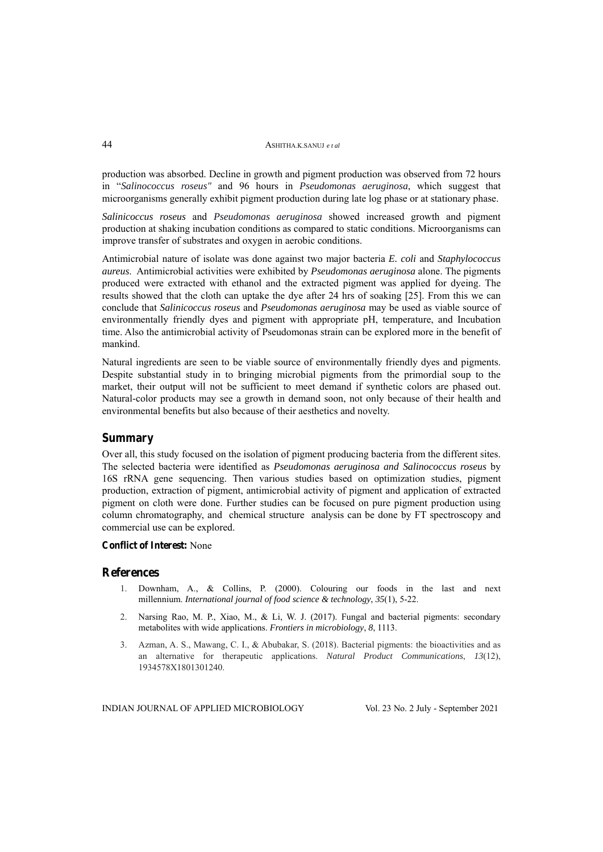production was absorbed. Decline in growth and pigment production was observed from 72 hours in "*Salinococcus roseus"* and 96 hours in *Pseudomonas aeruginosa*, which suggest that microorganisms generally exhibit pigment production during late log phase or at stationary phase.

*Salinicoccus roseus* and *Pseudomonas aeruginosa* showed increased growth and pigment production at shaking incubation conditions as compared to static conditions. Microorganisms can improve transfer of substrates and oxygen in aerobic conditions.

Antimicrobial nature of isolate was done against two major bacteria *E. coli* and *Staphylococcus aureus*. Antimicrobial activities were exhibited by *Pseudomonas aeruginosa* alone. The pigments produced were extracted with ethanol and the extracted pigment was applied for dyeing. The results showed that the cloth can uptake the dye after 24 hrs of soaking [25]. From this we can conclude that *Salinicoccus roseus* and *Pseudomonas aeruginosa* may be used as viable source of environmentally friendly dyes and pigment with appropriate pH, temperature, and Incubation time. Also the antimicrobial activity of Pseudomonas strain can be explored more in the benefit of mankind.

Natural ingredients are seen to be viable source of environmentally friendly dyes and pigments. Despite substantial study in to bringing microbial pigments from the primordial soup to the market, their output will not be sufficient to meet demand if synthetic colors are phased out. Natural-color products may see a growth in demand soon, not only because of their health and environmental benefits but also because of their aesthetics and novelty.

## **Summary**

Over all, this study focused on the isolation of pigment producing bacteria from the different sites. The selected bacteria were identified as *Pseudomonas aeruginosa and Salinococcus roseus* by 16S rRNA gene sequencing. Then various studies based on optimization studies, pigment production, extraction of pigment, antimicrobial activity of pigment and application of extracted pigment on cloth were done. Further studies can be focused on pure pigment production using column chromatography, and chemical structure analysis can be done by FT spectroscopy and commercial use can be explored.

#### **Conflict of Interest:** None

#### **References**

- 1. Downham, A., & Collins, P. (2000). Colouring our foods in the last and next millennium. *International journal of food science & technology*, *35*(1), 5-22.
- 2. Narsing Rao, M. P., Xiao, M., & Li, W. J. (2017). Fungal and bacterial pigments: secondary metabolites with wide applications. *Frontiers in microbiology*, *8*, 1113.
- 3. Azman, A. S., Mawang, C. I., & Abubakar, S. (2018). Bacterial pigments: the bioactivities and as an alternative for therapeutic applications. *Natural Product Communications*, *13*(12), 1934578X1801301240.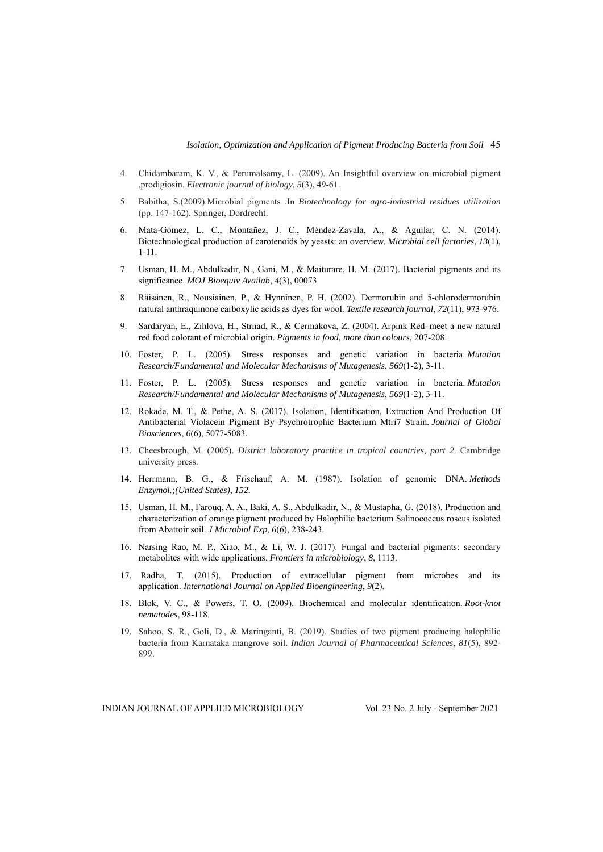- 4. Chidambaram, K. V., & Perumalsamy, L. (2009). An Insightful overview on microbial pigment ,prodigiosin. *Electronic journal of biology*, *5*(3), 49-61.
- 5. Babitha, S.(2009).Microbial pigments .In *Biotechnology for agro-industrial residues utilization*  (pp. 147-162). Springer, Dordrecht.
- 6. Mata-Gómez, L. C., Montañez, J. C., Méndez-Zavala, A., & Aguilar, C. N. (2014). Biotechnological production of carotenoids by yeasts: an overview. *Microbial cell factories*, *13*(1), 1-11.
- 7. Usman, H. M., Abdulkadir, N., Gani, M., & Maiturare, H. M. (2017). Bacterial pigments and its significance. *MOJ Bioequiv Availab*, *4*(3), 00073
- 8. Räisänen, R., Nousiainen, P., & Hynninen, P. H. (2002). Dermorubin and 5-chlorodermorubin natural anthraquinone carboxylic acids as dyes for wool. *Textile research journal*, *72*(11), 973-976.
- 9. Sardaryan, E., Zihlova, H., Strnad, R., & Cermakova, Z. (2004). Arpink Red–meet a new natural red food colorant of microbial origin. *Pigments in food, more than colours*, 207-208.
- 10. Foster, P. L. (2005). Stress responses and genetic variation in bacteria. *Mutation Research/Fundamental and Molecular Mechanisms of Mutagenesis*, *569*(1-2), 3-11.
- 11. Foster, P. L. (2005). Stress responses and genetic variation in bacteria. *Mutation Research/Fundamental and Molecular Mechanisms of Mutagenesis*, *569*(1-2), 3-11.
- 12. Rokade, M. T., & Pethe, A. S. (2017). Isolation, Identification, Extraction And Production Of Antibacterial Violacein Pigment By Psychrotrophic Bacterium Mtri7 Strain. *Journal of Global Biosciences*, *6*(6), 5077-5083.
- 13. Cheesbrough, M. (2005). *District laboratory practice in tropical countries, part 2*. Cambridge university press.
- 14. Herrmann, B. G., & Frischauf, A. M. (1987). Isolation of genomic DNA. *Methods Enzymol.;(United States)*, *152*.
- 15. Usman, H. M., Farouq, A. A., Baki, A. S., Abdulkadir, N., & Mustapha, G. (2018). Production and characterization of orange pigment produced by Halophilic bacterium Salinococcus roseus isolated from Abattoir soil. *J Microbiol Exp*, *6*(6), 238-243.
- 16. Narsing Rao, M. P., Xiao, M., & Li, W. J. (2017). Fungal and bacterial pigments: secondary metabolites with wide applications. *Frontiers in microbiology*, *8*, 1113.
- 17. Radha, T. (2015). Production of extracellular pigment from microbes and its application. *International Journal on Applied Bioengineering*, *9*(2).
- 18. Blok, V. C., & Powers, T. O. (2009). Biochemical and molecular identification. *Root-knot nematodes*, 98-118.
- 19. Sahoo, S. R., Goli, D., & Maringanti, B. (2019). Studies of two pigment producing halophilic bacteria from Karnataka mangrove soil. *Indian Journal of Pharmaceutical Sciences*, *81*(5), 892- 899.